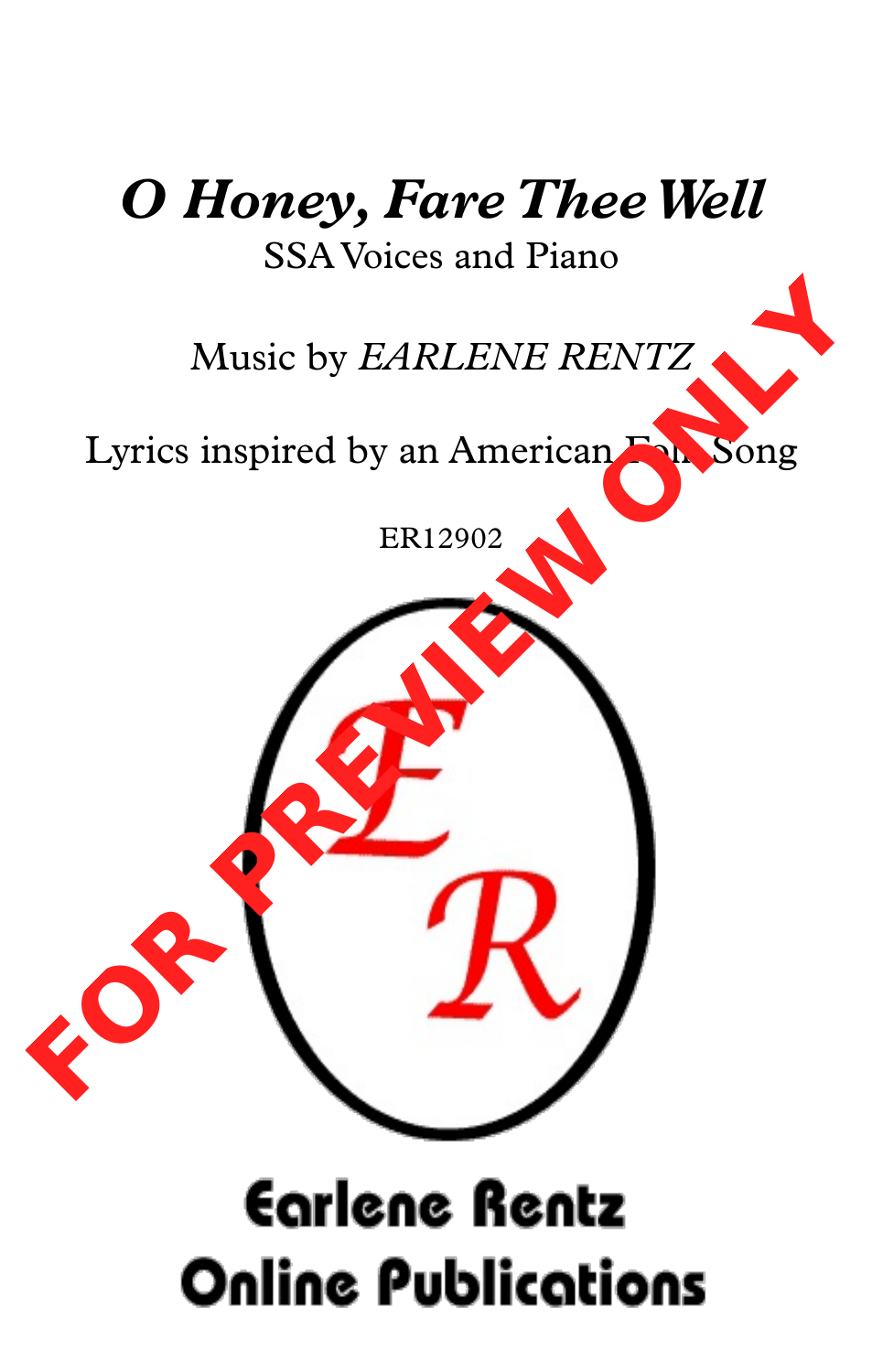## *O Honey, Fare TheeWell* SSA Voices and Piano

Music by *EARLENE RENTZ*

Lyrics inspired by an American Folk Song

ER12902



## **Earlene Rentz Online Publications**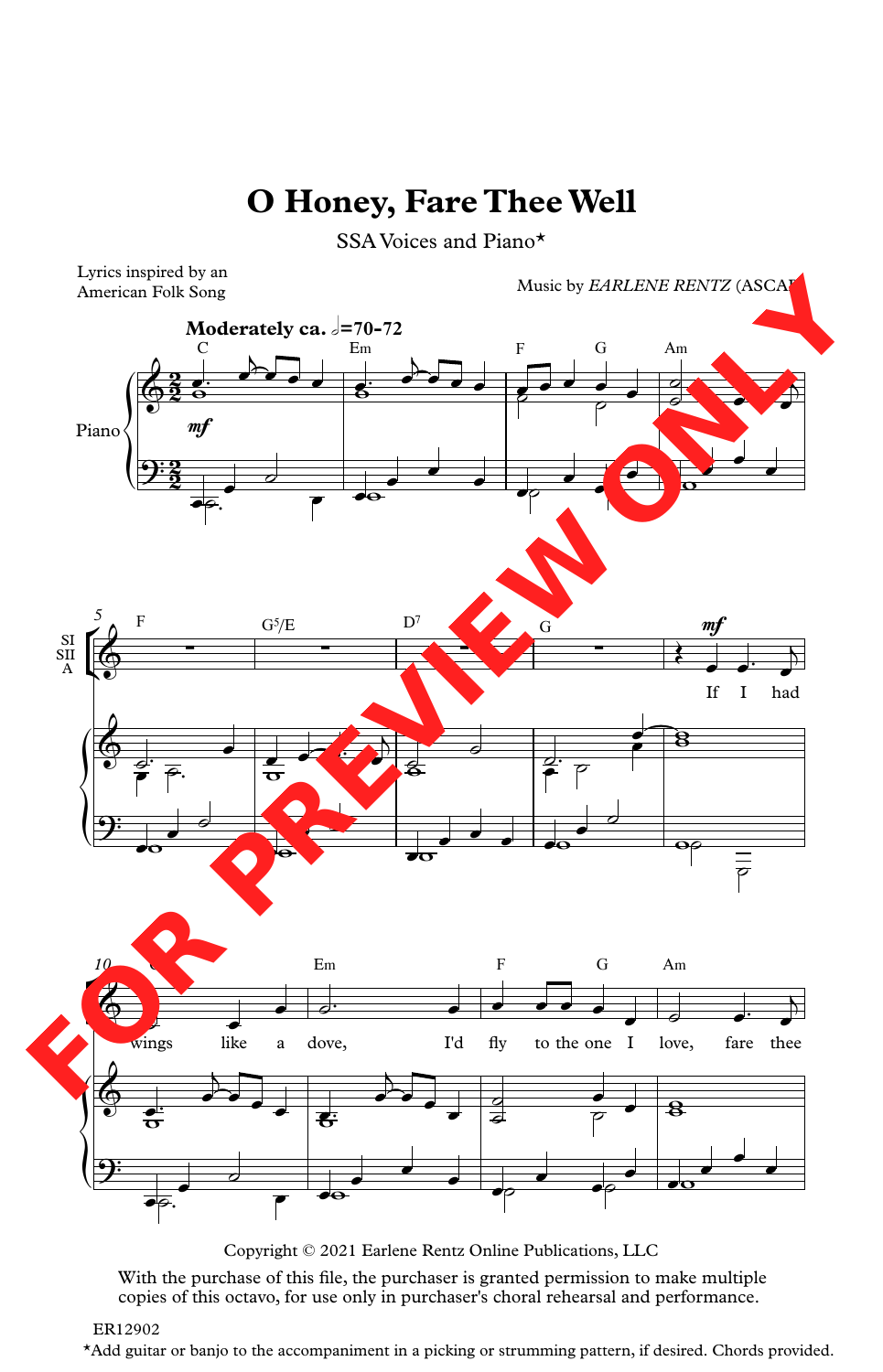## **O Honey, Fare TheeWell**

SSA Voices and Piano\*



Copyright © 2021 Earlene Rentz Online Publications, LLC

With the purchase of this file, the purchaser is granted permission to make multiple copies of this octavo, for use only in purchaser's choral rehearsal and performance.

\*Add guitar or banjo to the accompaniment in a picking or strumming pattern, if desired. Chords provided.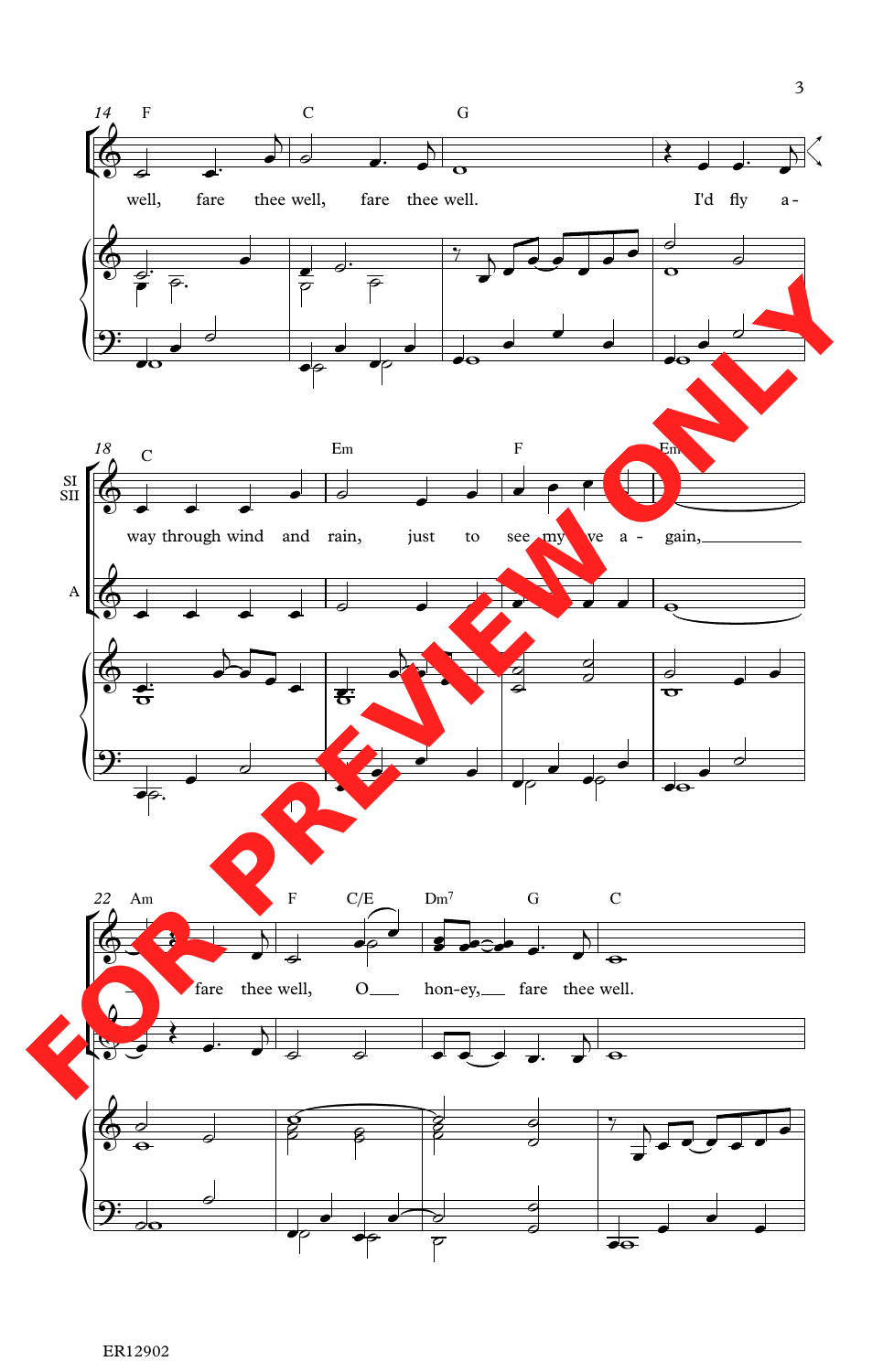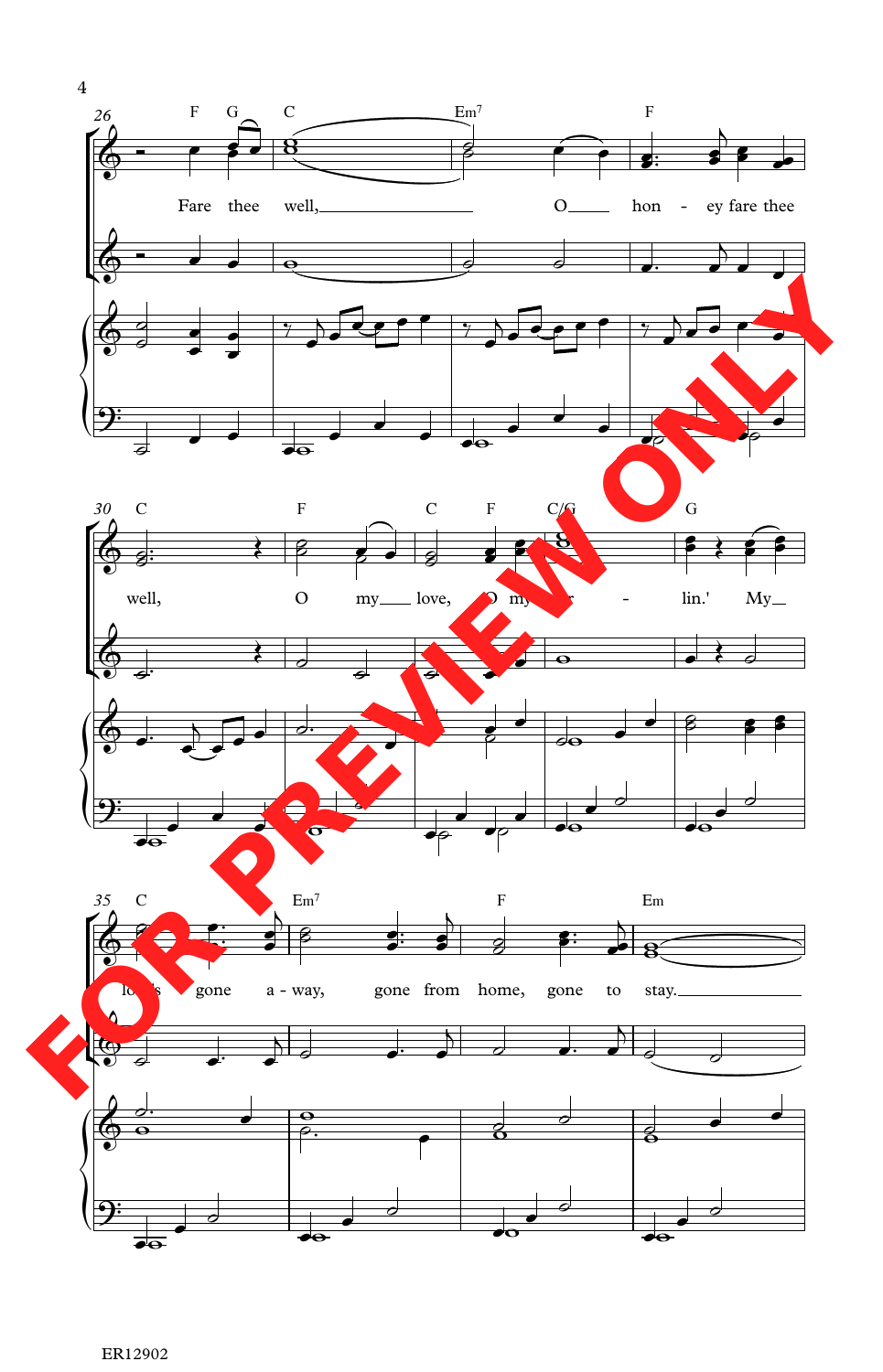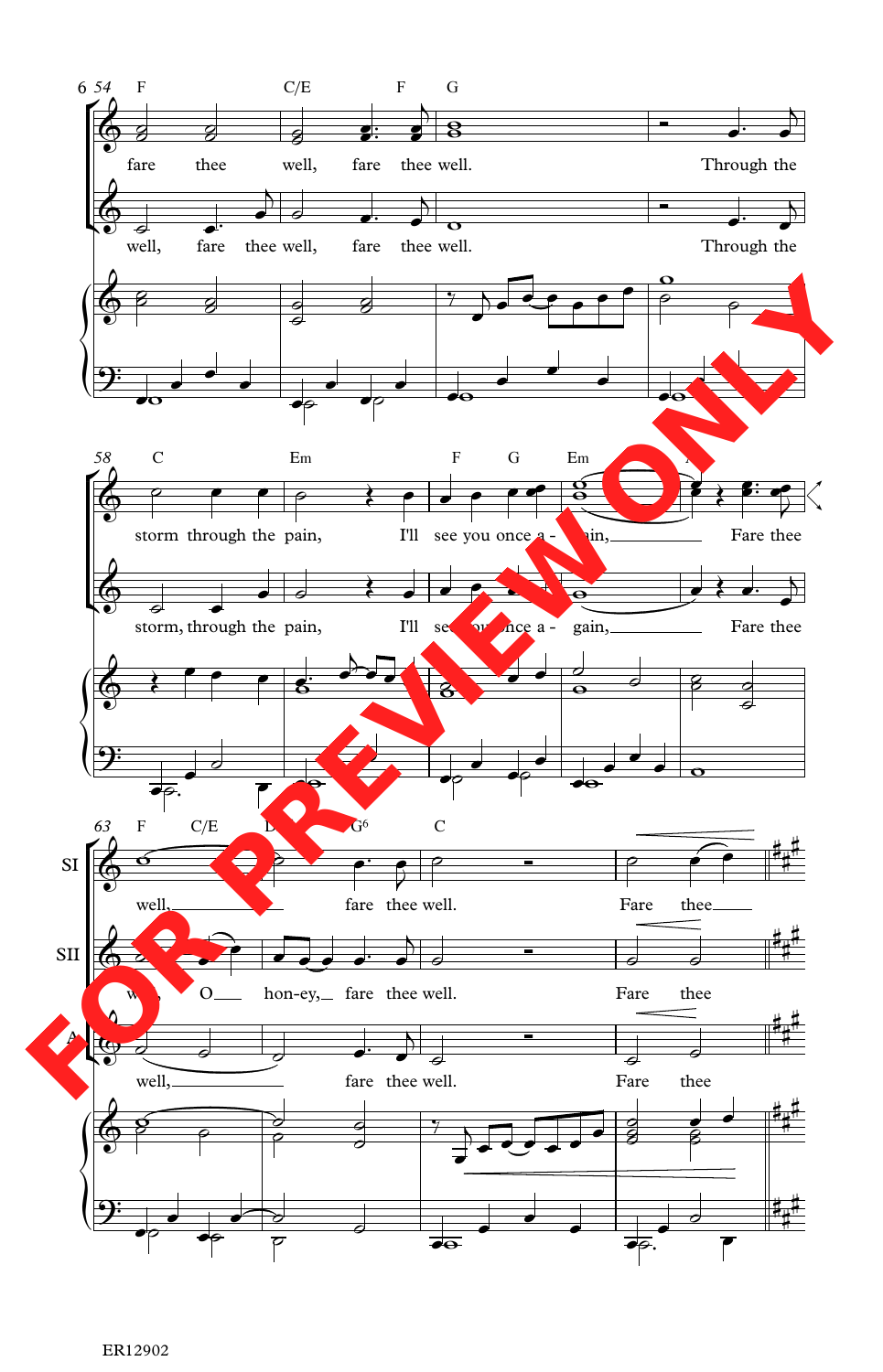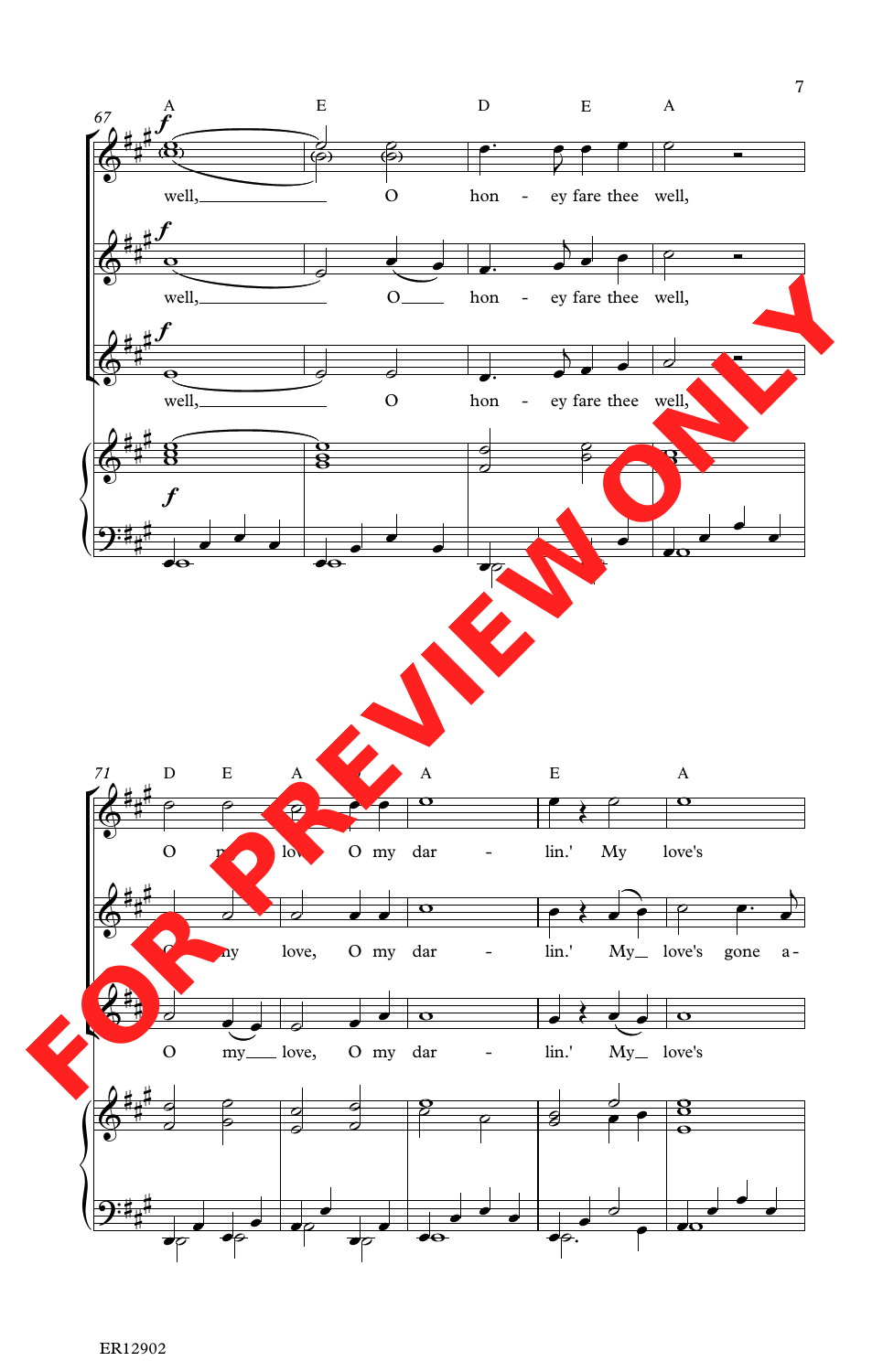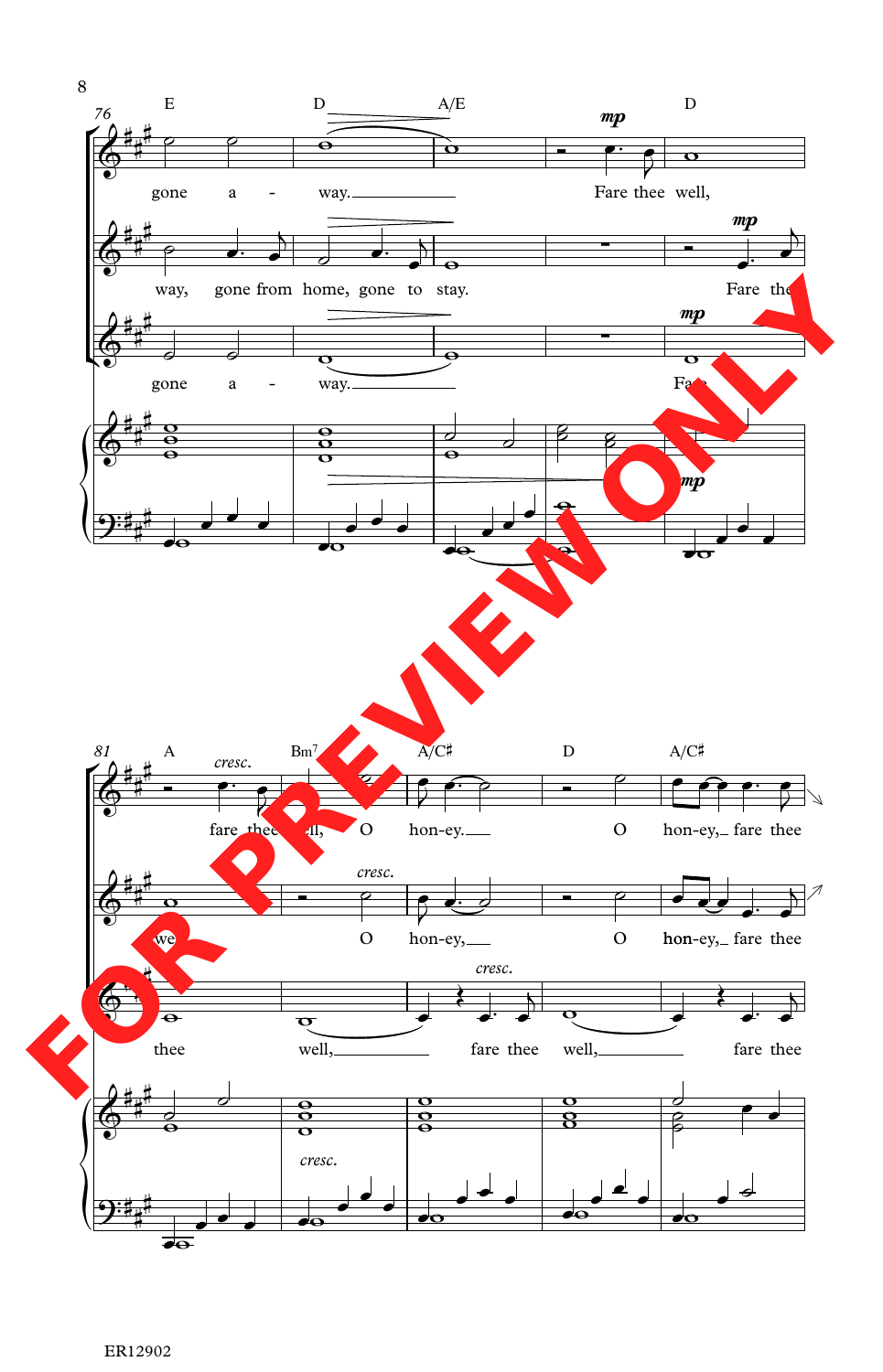